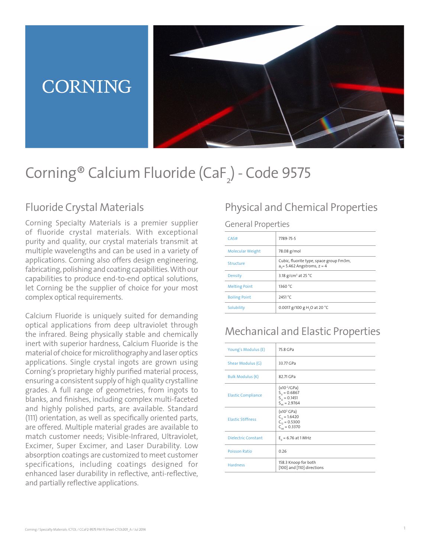# **CORNING**



# Corning® Calcium Fluoride (CaF<sub>2</sub>) - Code 9575

### Fluoride Crystal Materials

Corning Specialty Materials is a premier supplier of fluoride crystal materials. With exceptional purity and quality, our crystal materials transmit at multiple wavelengths and can be used in a variety of applications. Corning also offers design engineering, fabricating, polishing and coating capabilities. With our capabilities to produce end-to-end optical solutions, let Corning be the supplier of choice for your most complex optical requirements.

Calcium Fluoride is uniquely suited for demanding optical applications from deep ultraviolet through the infrared. Being physically stable and chemically inert with superior hardness, Calcium Fluoride is the material of choice for microlithography and laser optics applications. Single crystal ingots are grown using Corning's proprietary highly purified material process, ensuring a consistent supply of high quality crystalline grades. A full range of geometries, from ingots to blanks, and finishes, including complex multi-faceted and highly polished parts, are available. Standard (111) orientation, as well as specifically oriented parts, are offered. Multiple material grades are available to match customer needs; Visible-Infrared, Ultraviolet, Excimer, Super Excimer, and Laser Durability. Low absorption coatings are customized to meet customer specifications, including coatings designed for enhanced laser durability in reflective, anti-reflective, and partially reflective applications.

### Physical and Chemical Properties

#### General Properties

| CAS#                    | 7789-75-5                                                                   |
|-------------------------|-----------------------------------------------------------------------------|
| <b>Molecular Weight</b> | 78.08 g/mol                                                                 |
| Structure               | Cubic, fluorite type, space group Fm3m,<br>$a_0$ = 5.462 Angstroms, $z = 4$ |
| <b>Density</b>          | 3.18 g/cm <sup>3</sup> at 25 °C                                             |
| <b>Melting Point</b>    | 1360 °C                                                                     |
| <b>Boiling Point</b>    | 2451 °C                                                                     |
| Solubility              | 0.0017 g/100 g H, O at 20 °C                                                |

### Mechanical and Elastic Properties

| Young's Modulus (E)        | 75.8 GPa                                                                               |
|----------------------------|----------------------------------------------------------------------------------------|
| Shear Modulus (G)          | 33.77 GPa                                                                              |
| <b>Bulk Modulus (K)</b>    | 82.71 GPa                                                                              |
| <b>Elastic Compliance</b>  | $(x10^{-2}/\text{GPa})$<br>$S_{11} = 0.6867$<br>$S_{12} = 0.1451$<br>$S_{44} = 2.9764$ |
| <b>Elastic Stiffness</b>   | (x10 <sup>2</sup> GPa)<br>$C_{11} = 1.6420$<br>$C_{12} = 0.5300$<br>$C_{44} = 0.3370$  |
| <b>Dielectric Constant</b> | $E_0 = 6.76$ at 1 MHz                                                                  |
| <b>Poisson Ratio</b>       | 0.26                                                                                   |
| <b>Hardness</b>            | 158.3 Knoop for both<br>[100] and [110] directions                                     |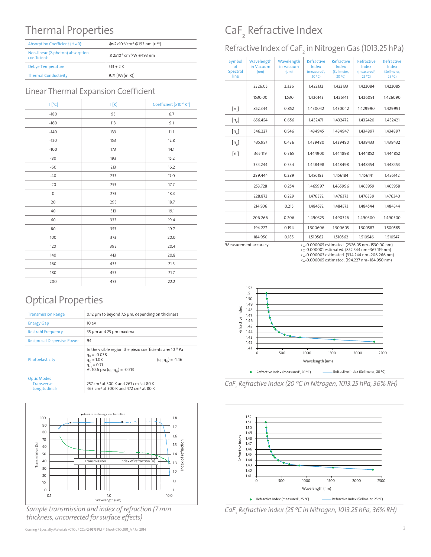### Thermal Properties

| Absorption Coefficient (H+0):                    | Φ≤2x10 <sup>-3</sup> /cm <sup>-1</sup> @193 nm [ε <sup>-øx</sup> ] |
|--------------------------------------------------|--------------------------------------------------------------------|
| Non-linear (2-photon) absorption<br>coefficient. | ≤ 2x10 <sup>-9</sup> cm <sup>-1</sup> /W @193 nm                   |
| <b>Debye Temperature</b>                         | $513 + 2K$                                                         |
| <b>Thermal Conductivity</b>                      | $9.71$ [W/(m K)]                                                   |

#### Linear Thermal Expansion Coefficient

| $T[^{\circ}C]$      | T[K] | Coefficient [x10-6 K-1] |
|---------------------|------|-------------------------|
| $-180$              | 93   | 6.7                     |
| $-160$              | 113  | 9.1                     |
| $-140$              | 133  | 11.1                    |
| $-120$              | 153  | 12.8                    |
| $-100$              | 173  | 14.1                    |
| $-80$               | 193  | 15.2                    |
| $-60$               | 213  | 16.2                    |
| $-40$               | 233  | 17.0                    |
| $-20$               | 253  | 17.7                    |
| $\mathsf{O}\xspace$ | 273  | 18.3                    |
| 20                  | 293  | 18.7                    |
| 40                  | 313  | 19.1                    |
| 60                  | 333  | 19.4                    |
| 80                  | 353  | 19.7                    |
| 100                 | 373  | 20.0                    |
| 120                 | 393  | 20.4                    |
| 140                 | 413  | 20.8                    |
| 160                 | 433  | 21.3                    |
| 180                 | 453  | 21.7                    |
| 200                 | 473  | 22.2                    |

### Optical Properties

| <b>Transmission Range</b>                          | 0.12 um to beyond 7.5 um, depending on thickness                                                                                                                                                                             |  |
|----------------------------------------------------|------------------------------------------------------------------------------------------------------------------------------------------------------------------------------------------------------------------------------|--|
| <b>Energy Gap</b>                                  | 10eV                                                                                                                                                                                                                         |  |
| <b>Restrahl Frequency</b>                          | 35 µm and 25 µm maxima                                                                                                                                                                                                       |  |
| <b>Reciprocal Dispersive Power</b>                 | 94                                                                                                                                                                                                                           |  |
| Photoelasticity                                    | In the visible region the piezo coefficients are: 10 <sup>-12</sup> Pa<br>$q_{11} = -0.038$<br>$(q_{11}-q_{12}) = -1.46$<br>$q_{12} = 1.08$<br>$q_{44} = 0.71$<br>At 10.6 $\mu$ M (q <sub>n</sub> -q <sub>n</sub> ) = -0.513 |  |
| <b>Optic Modes</b><br>Transverse:<br>Longitudinal: | 257 cm <sup>-1</sup> at 300 K and 267 cm <sup>-1</sup> at 80 K<br>463 cm <sup>-1</sup> at 300 K and 472 cm <sup>-1</sup> at 80 K                                                                                             |  |



*Sample transmission and index of refraction (7 mm thickness, uncorrected for surface effects)*

## CaF 2 Refractive Index

Refractive Index of CaF $_{\textrm{\tiny{2}}}$  in Nitrogen Gas (1013.25 hPa)

| Symbol<br>$\sigma$ f<br>Spectral<br>line | Wavelength<br>in Vacuum<br>(nm) | Wavelength<br>in Vacuum<br>$(\mu m)$ | Refractive<br>Index<br>(measured <sup>t</sup> ,<br>20 °C) | Refractive<br>Index<br>(Sellmeier,<br>20 °C | Refractive<br>Index<br>(measured <sup>1</sup> ,<br>25 °C | Refractive<br>Index<br>(Sellmeier,<br>25 °C |
|------------------------------------------|---------------------------------|--------------------------------------|-----------------------------------------------------------|---------------------------------------------|----------------------------------------------------------|---------------------------------------------|
|                                          | 2326.05                         | 2.326                                | 1.422132                                                  | 1.422133                                    | 1.422084                                                 | 1.422085                                    |
|                                          | 1530.00                         | 1.530                                | 1.426143                                                  | 1.426141                                    | 1.426091                                                 | 1.426090                                    |
| $[n_{\iota}]$                            | 852.344                         | 0.852                                | 1.430042                                                  | 1.430042                                    | 1.429990                                                 | 1.429991                                    |
| $[n_c]$                                  | 656.454                         | 0.656                                | 1.432471                                                  | 1.432472                                    | 1.432420                                                 | 1.432421                                    |
| $[n_{\scriptscriptstyle \rm s}]$         | 546.227                         | 0.546                                | 1.434945                                                  | 1.434947                                    | 1.434897                                                 | 1.434897                                    |
| $[n_{\rm g}]$                            | 435.957                         | 0.436                                | 1.439480                                                  | 1.439480                                    | 1.439433                                                 | 1.439432                                    |
| $[n_i]$                                  | 365.119                         | 0.365                                | 1.444900                                                  | 1.444898                                    | 1.444852                                                 | 1.444852                                    |
|                                          | 334.244                         | 0.334                                | 1.448498                                                  | 1.448498                                    | 1.448454                                                 | 1.448453                                    |
|                                          | 289.444                         | 0.289                                | 1.456183                                                  | 1.456184                                    | 1.456141                                                 | 1.456142                                    |
|                                          | 253.728                         | 0.254                                | 1.465997                                                  | 1.465996                                    | 1.465959                                                 | 1.465958                                    |
|                                          | 228.872                         | 0.229                                | 1.476372                                                  | 1.476373                                    | 1.476339                                                 | 1.476340                                    |
|                                          | 214.506                         | 0.215                                | 1.484572                                                  | 1.484573                                    | 1.484544                                                 | 1.484544                                    |
|                                          | 206.266                         | 0.206                                | 1.490325                                                  | 1.490326                                    | 1.490300                                                 | 1.490300                                    |
|                                          | 194.227                         | 0.194                                | 1.500606                                                  | 1.500605                                    | 1.500587                                                 | 1.500585                                    |
|                                          | 184.950                         | 0.185                                | 1.510562                                                  | 1.510562                                    | 1.510546                                                 | 1.510547                                    |

\*Measurement accuracy:

<±-0.000005 estimated. (2326.05 nm~1530.00 nm) <±-0.000001 estimated. (852.344 nm~365.119 nm) <±-0.000003 estimated. (334.244 nm~206.266 nm)

<±-0.000005 estimated. (194.227 nm~184.950 nm)



*CaF2 Refractive index (20 ºC in Nitrogen, 1013.25 hPa, 36% RH)*



*CaF2 Refractive index (25 ºC in Nitrogen, 1013.25 hPa, 36% RH)*